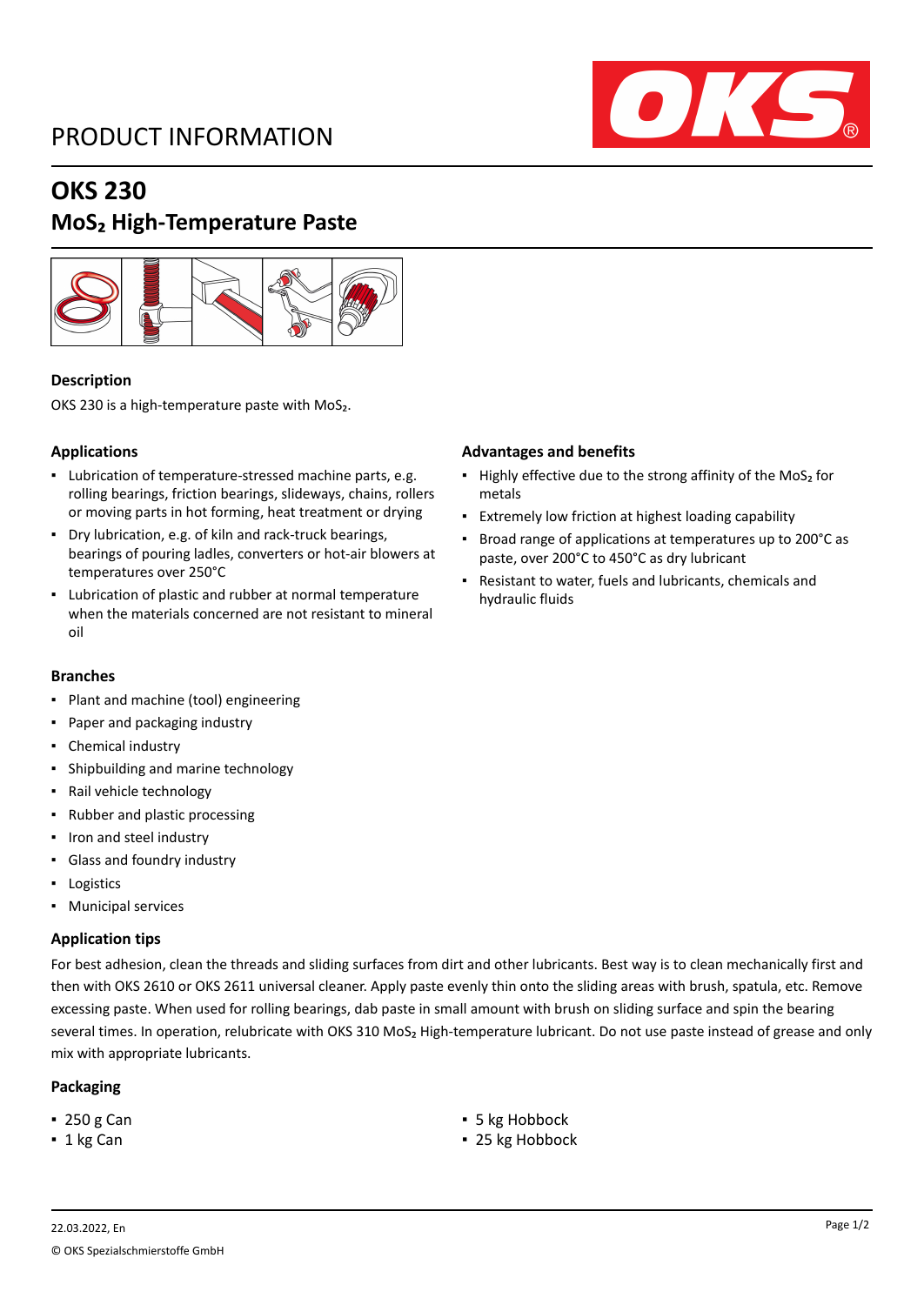### PRODUCT INFORMATION



# **OKS 230**

### **MoS₂ High-Temperature Paste**



### **Description**

OKS 230 is a high-temperature paste with MoS<sub>2</sub>.

### **Applications**

- Lubrication of temperature-stressed machine parts, e.g. rolling bearings, friction bearings, slideways, chains, rollers or moving parts in hot forming, heat treatment or drying
- Dry lubrication, e.g. of kiln and rack-truck bearings, bearings of pouring ladles, converters or hot-air blowers at temperatures over 250°C
- Lubrication of plastic and rubber at normal temperature when the materials concerned are not resistant to mineral oil

#### **Branches**

- Plant and machine (tool) engineering
- Paper and packaging industry
- Chemical industry
- Shipbuilding and marine technology
- Rail vehicle technology
- Rubber and plastic processing
- Iron and steel industry
- Glass and foundry industry
- Logistics
- Municipal services

### **Application tips**

For best adhesion, clean the threads and sliding surfaces from dirt and other lubricants. Best way is to clean mechanically first and then with OKS 2610 or OKS 2611 universal cleaner. Apply paste evenly thin onto the sliding areas with brush, spatula, etc. Remove excessing paste. When used for rolling bearings, dab paste in small amount with brush on sliding surface and spin the bearing several times. In operation, relubricate with OKS 310 MoS<sub>2</sub> High-temperature lubricant. Do not use paste instead of grease and only mix with appropriate lubricants.

### **Packaging**

- 
- 

#### **Advantages and benefits**

- Highly effective due to the strong affinity of the MoS<sub>2</sub> for metals
- Extremely low friction at highest loading capability
- Broad range of applications at temperatures up to 200°C as paste, over 200°C to 450°C as dry lubricant
- Resistant to water, fuels and lubricants, chemicals and hydraulic fluids

- 250 g Can **■** 5 kg Hobbock
- 1 kg Can **■** 25 kg Hobbock